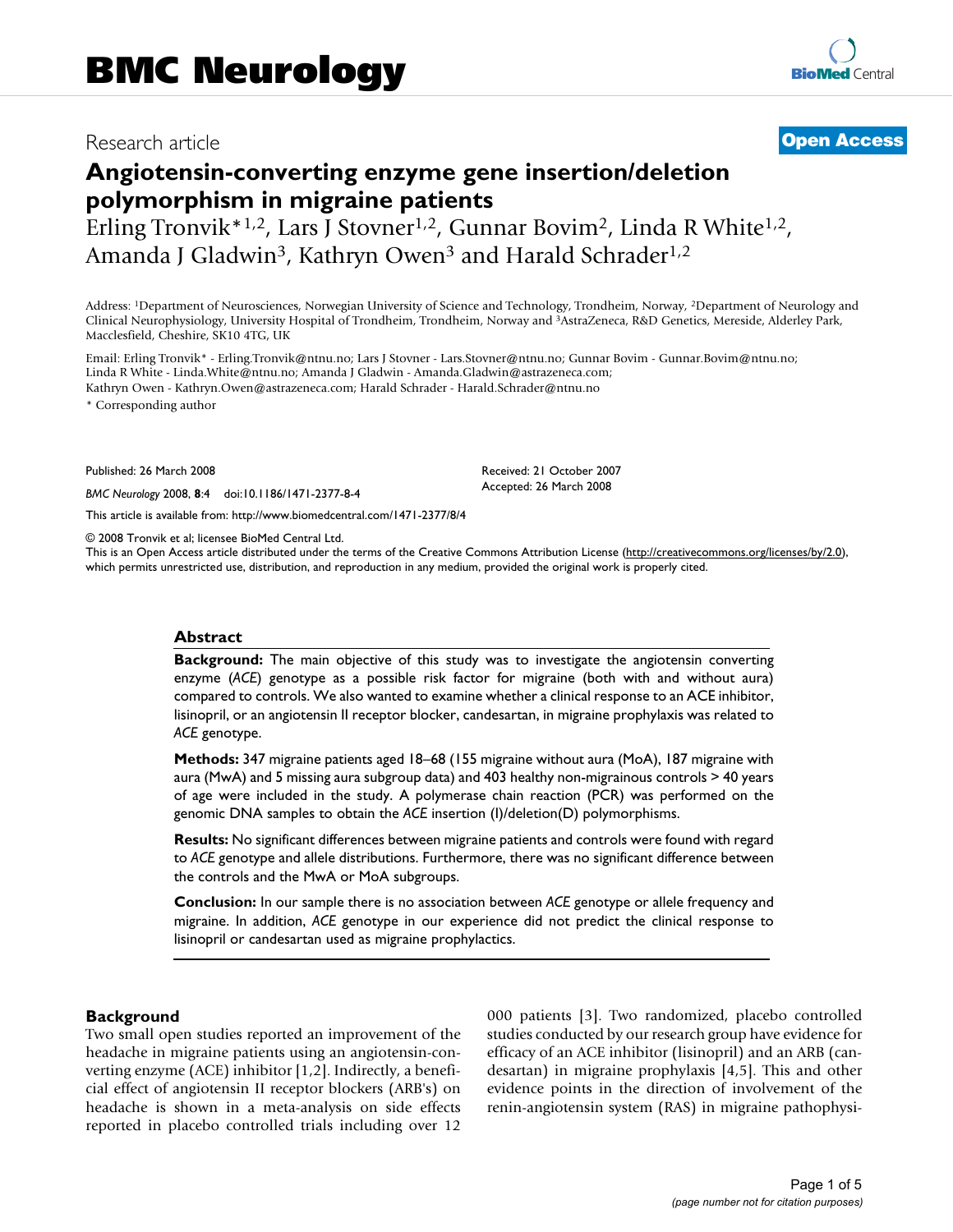# Research article **[Open Access](http://www.biomedcentral.com/info/about/charter/)**

# **Angiotensin-converting enzyme gene insertion/deletion polymorphism in migraine patients**

Erling Tronvik\*<sup>1,2</sup>, Lars J Stovner<sup>1,2</sup>, Gunnar Bovim<sup>2</sup>, Linda R White<sup>1,2</sup>, Amanda J Gladwin<sup>3</sup>, Kathryn Owen<sup>3</sup> and Harald Schrader<sup>1,2</sup>

Address: 1Department of Neurosciences, Norwegian University of Science and Technology, Trondheim, Norway, 2Department of Neurology and Clinical Neurophysiology, University Hospital of Trondheim, Trondheim, Norway and 3AstraZeneca, R&D Genetics, Mereside, Alderley Park, Macclesfield, Cheshire, SK10 4TG, UK

Email: Erling Tronvik\* - Erling.Tronvik@ntnu.no; Lars J Stovner - Lars.Stovner@ntnu.no; Gunnar Bovim - Gunnar.Bovim@ntnu.no; Linda R White - Linda.White@ntnu.no; Amanda J Gladwin - Amanda.Gladwin@astrazeneca.com; Kathryn Owen - Kathryn.Owen@astrazeneca.com; Harald Schrader - Harald.Schrader@ntnu.no

\* Corresponding author

Published: 26 March 2008

*BMC Neurology* 2008, **8**:4 doi:10.1186/1471-2377-8-4

[This article is available from: http://www.biomedcentral.com/1471-2377/8/4](http://www.biomedcentral.com/1471-2377/8/4)

© 2008 Tronvik et al; licensee BioMed Central Ltd.

This is an Open Access article distributed under the terms of the Creative Commons Attribution License [\(http://creativecommons.org/licenses/by/2.0\)](http://creativecommons.org/licenses/by/2.0), which permits unrestricted use, distribution, and reproduction in any medium, provided the original work is properly cited.

Received: 21 October 2007 Accepted: 26 March 2008

#### **Abstract**

**Background:** The main objective of this study was to investigate the angiotensin converting enzyme (*ACE*) genotype as a possible risk factor for migraine (both with and without aura) compared to controls. We also wanted to examine whether a clinical response to an ACE inhibitor, lisinopril, or an angiotensin II receptor blocker, candesartan, in migraine prophylaxis was related to *ACE* genotype.

**Methods:** 347 migraine patients aged 18–68 (155 migraine without aura (MoA), 187 migraine with aura (MwA) and 5 missing aura subgroup data) and 403 healthy non-migrainous controls > 40 years of age were included in the study. A polymerase chain reaction (PCR) was performed on the genomic DNA samples to obtain the *ACE* insertion (I)/deletion(D) polymorphisms.

**Results:** No significant differences between migraine patients and controls were found with regard to *ACE* genotype and allele distributions. Furthermore, there was no significant difference between the controls and the MwA or MoA subgroups.

**Conclusion:** In our sample there is no association between *ACE* genotype or allele frequency and migraine. In addition, *ACE* genotype in our experience did not predict the clinical response to lisinopril or candesartan used as migraine prophylactics.

#### **Background**

Two small open studies reported an improvement of the headache in migraine patients using an angiotensin-converting enzyme (ACE) inhibitor [1,2]. Indirectly, a beneficial effect of angiotensin II receptor blockers (ARB's) on headache is shown in a meta-analysis on side effects reported in placebo controlled trials including over 12 000 patients [3]. Two randomized, placebo controlled studies conducted by our research group have evidence for efficacy of an ACE inhibitor (lisinopril) and an ARB (candesartan) in migraine prophylaxis [4,5]. This and other evidence points in the direction of involvement of the renin-angiotensin system (RAS) in migraine pathophysi-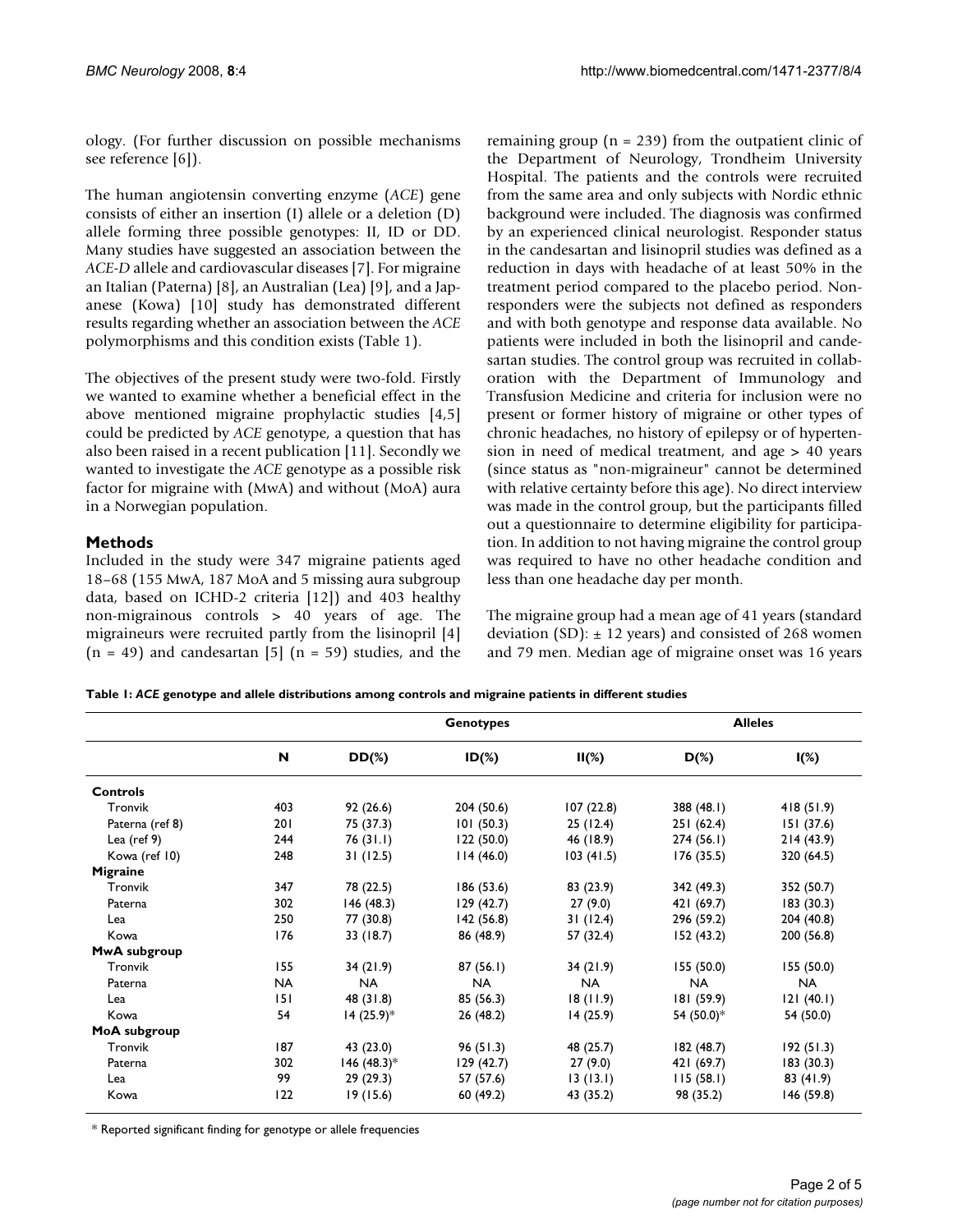ology. (For further discussion on possible mechanisms see reference [6]).

The human angiotensin converting enzyme (*ACE*) gene consists of either an insertion (I) allele or a deletion (D) allele forming three possible genotypes: II, ID or DD. Many studies have suggested an association between the *ACE-D* allele and cardiovascular diseases [7]. For migraine an Italian (Paterna) [8], an Australian (Lea) [9], and a Japanese (Kowa) [10] study has demonstrated different results regarding whether an association between the *ACE* polymorphisms and this condition exists (Table 1).

The objectives of the present study were two-fold. Firstly we wanted to examine whether a beneficial effect in the above mentioned migraine prophylactic studies [4,5] could be predicted by *ACE* genotype, a question that has also been raised in a recent publication [11]. Secondly we wanted to investigate the *ACE* genotype as a possible risk factor for migraine with (MwA) and without (MoA) aura in a Norwegian population.

## **Methods**

Included in the study were 347 migraine patients aged 18–68 (155 MwA, 187 MoA and 5 missing aura subgroup data, based on ICHD-2 criteria [12]) and 403 healthy non-migrainous controls > 40 years of age. The migraineurs were recruited partly from the lisinopril [4]  $(n = 49)$  and candesartan [5]  $(n = 59)$  studies, and the remaining group ( $n = 239$ ) from the outpatient clinic of the Department of Neurology, Trondheim University Hospital. The patients and the controls were recruited from the same area and only subjects with Nordic ethnic background were included. The diagnosis was confirmed by an experienced clinical neurologist. Responder status in the candesartan and lisinopril studies was defined as a reduction in days with headache of at least 50% in the treatment period compared to the placebo period. Nonresponders were the subjects not defined as responders and with both genotype and response data available. No patients were included in both the lisinopril and candesartan studies. The control group was recruited in collaboration with the Department of Immunology and Transfusion Medicine and criteria for inclusion were no present or former history of migraine or other types of chronic headaches, no history of epilepsy or of hypertension in need of medical treatment, and age > 40 years (since status as "non-migraineur" cannot be determined with relative certainty before this age). No direct interview was made in the control group, but the participants filled out a questionnaire to determine eligibility for participation. In addition to not having migraine the control group was required to have no other headache condition and less than one headache day per month.

The migraine group had a mean age of 41 years (standard deviation (SD):  $\pm$  12 years) and consisted of 268 women and 79 men. Median age of migraine onset was 16 years

**Table 1:** *ACE* **genotype and allele distributions among controls and migraine patients in different studies**

|                 |           | <b>Genotypes</b> |            |           | <b>Alleles</b> |            |  |
|-----------------|-----------|------------------|------------|-----------|----------------|------------|--|
|                 | N         | $DD(\%)$         | $ID(\%)$   | $II(\%)$  | $D(\%)$        | $I(\%)$    |  |
| <b>Controls</b> |           |                  |            |           |                |            |  |
| Tronvik         | 403       | 92(26.6)         | 204 (50.6) | 107(22.8) | 388 (48.1)     | 418(51.9)  |  |
| Paterna (ref 8) | 201       | 75 (37.3)        | 101(50.3)  | 25(12.4)  | 251 (62.4)     | 151 (37.6) |  |
| Lea (ref $9$ )  | 244       | 76(31.1)         | 122(50.0)  | 46 (18.9) | 274(56.1)      | 214(43.9)  |  |
| Kowa (ref 10)   | 248       | 31(12.5)         | 114(46.0)  | 103(41.5) | 176(35.5)      | 320 (64.5) |  |
| Migraine        |           |                  |            |           |                |            |  |
| Tronvik         | 347       | 78 (22.5)        | 186(53.6)  | 83 (23.9) | 342 (49.3)     | 352 (50.7) |  |
| Paterna         | 302       | 146(48.3)        | 129(42.7)  | 27(9.0)   | 421 (69.7)     | 183(30.3)  |  |
| Lea             | 250       | 77 (30.8)        | 142(56.8)  | 31(12.4)  | 296 (59.2)     | 204 (40.8) |  |
| Kowa            | 176       | 33 (18.7)        | 86 (48.9)  | 57 (32.4) | 152(43.2)      | 200 (56.8) |  |
| MwA subgroup    |           |                  |            |           |                |            |  |
| Tronvik         | 155       | 34(21.9)         | 87(56.1)   | 34(21.9)  | 155(50.0)      | 155 (50.0) |  |
| Paterna         | <b>NA</b> | <b>NA</b>        | <b>NA</b>  | <b>NA</b> | <b>NA</b>      | <b>NA</b>  |  |
| Lea             | 151       | 48 (31.8)        | 85 (56.3)  | 18(11.9)  | 181(59.9)      | 121(40.1)  |  |
| Kowa            | 54        | $14(25.9)$ *     | 26(48.2)   | 14(25.9)  | 54 (50.0)*     | 54 (50.0)  |  |
| MoA subgroup    |           |                  |            |           |                |            |  |
| Tronvik         | 187       | 43 (23.0)        | 96(51.3)   | 48 (25.7) | 182(48.7)      | 192(51.3)  |  |
| Paterna         | 302       | 146 (48.3)*      | 129(42.7)  | 27(9.0)   | 421 (69.7)     | 183(30.3)  |  |
| Lea             | 99        | 29(29.3)         | 57 (57.6)  | 13(13.1)  | 115(58.1)      | 83 (41.9)  |  |
| Kowa            | 122       | 19(15.6)         | 60(49.2)   | 43 (35.2) | 98 (35.2)      | 146 (59.8) |  |

\* Reported significant finding for genotype or allele frequencies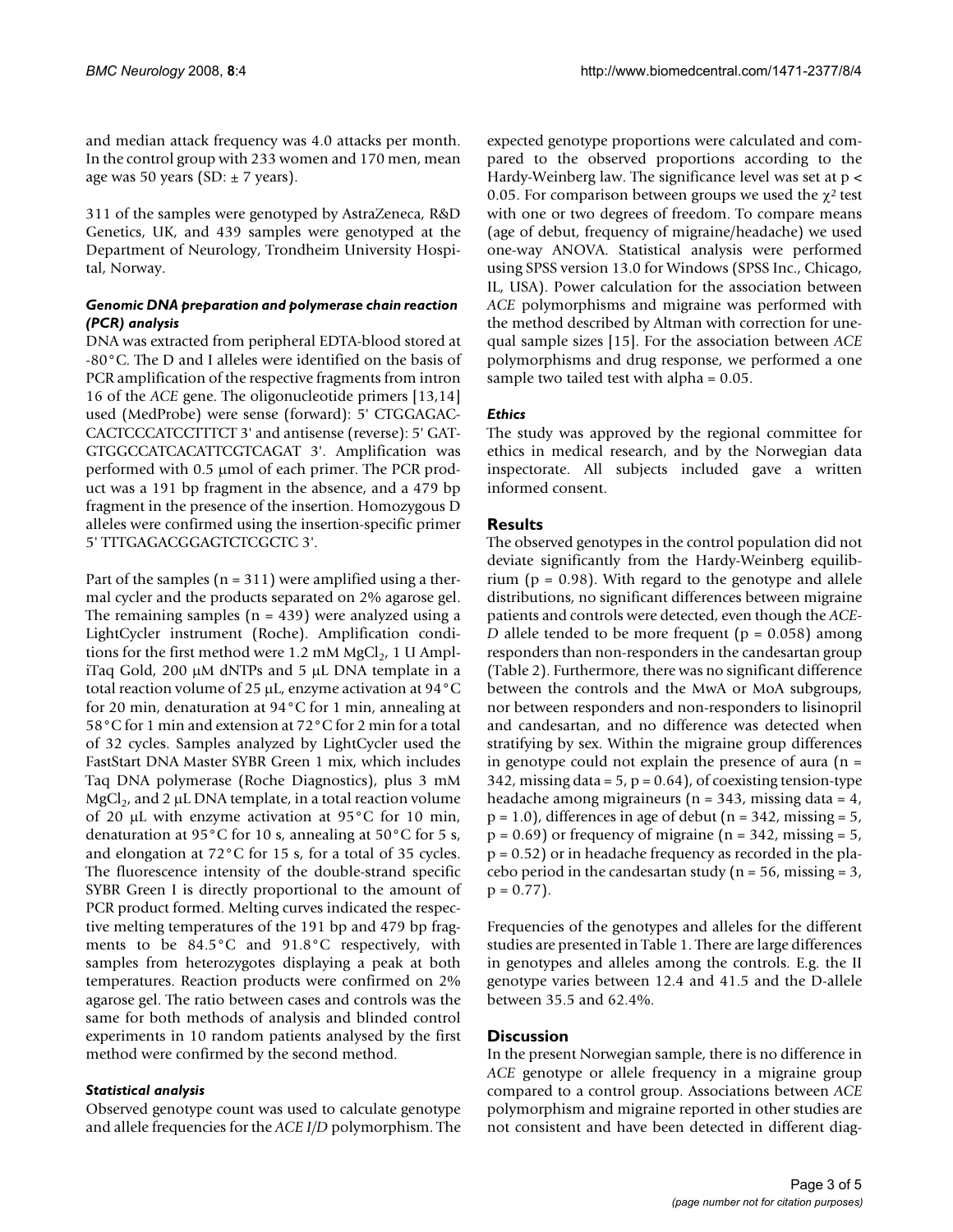and median attack frequency was 4.0 attacks per month. In the control group with 233 women and 170 men, mean age was 50 years (SD:  $\pm$  7 years).

311 of the samples were genotyped by AstraZeneca, R&D Genetics, UK, and 439 samples were genotyped at the Department of Neurology, Trondheim University Hospital, Norway.

# *Genomic DNA preparation and polymerase chain reaction (PCR) analysis*

DNA was extracted from peripheral EDTA-blood stored at -80°C. The D and I alleles were identified on the basis of PCR amplification of the respective fragments from intron 16 of the *ACE* gene. The oligonucleotide primers [13,14] used (MedProbe) were sense (forward): 5' CTGGAGAC-CACTCCCATCCTTTCT 3' and antisense (reverse): 5' GAT-GTGGCCATCACATTCGTCAGAT 3'. Amplification was performed with 0.5 μmol of each primer. The PCR product was a 191 bp fragment in the absence, and a 479 bp fragment in the presence of the insertion. Homozygous D alleles were confirmed using the insertion-specific primer 5' TTTGAGACGGAGTCTCGCTC 3'.

Part of the samples ( $n = 311$ ) were amplified using a thermal cycler and the products separated on 2% agarose gel. The remaining samples  $(n = 439)$  were analyzed using a LightCycler instrument (Roche). Amplification conditions for the first method were 1.2 mM  $MgCl<sub>2</sub>$ , 1 U AmpliTaq Gold, 200 μM dNTPs and 5 μL DNA template in a total reaction volume of 25 μL, enzyme activation at 94°C for 20 min, denaturation at 94°C for 1 min, annealing at 58°C for 1 min and extension at 72°C for 2 min for a total of 32 cycles. Samples analyzed by LightCycler used the FastStart DNA Master SYBR Green 1 mix, which includes Taq DNA polymerase (Roche Diagnostics), plus 3 mM MgCl<sub>2</sub>, and 2 μL DNA template, in a total reaction volume of 20 μL with enzyme activation at 95°C for 10 min, denaturation at 95°C for 10 s, annealing at 50°C for 5 s, and elongation at 72°C for 15 s, for a total of 35 cycles. The fluorescence intensity of the double-strand specific SYBR Green I is directly proportional to the amount of PCR product formed. Melting curves indicated the respective melting temperatures of the 191 bp and 479 bp fragments to be 84.5°C and 91.8°C respectively, with samples from heterozygotes displaying a peak at both temperatures. Reaction products were confirmed on 2% agarose gel. The ratio between cases and controls was the same for both methods of analysis and blinded control experiments in 10 random patients analysed by the first method were confirmed by the second method.

# *Statistical analysis*

Observed genotype count was used to calculate genotype and allele frequencies for the *ACE I/D* polymorphism. The expected genotype proportions were calculated and compared to the observed proportions according to the Hardy-Weinberg law. The significance level was set at p < 0.05. For comparison between groups we used the  $\chi^2$  test with one or two degrees of freedom. To compare means (age of debut, frequency of migraine/headache) we used one-way ANOVA. Statistical analysis were performed using SPSS version 13.0 for Windows (SPSS Inc., Chicago, IL, USA). Power calculation for the association between *ACE* polymorphisms and migraine was performed with the method described by Altman with correction for unequal sample sizes [15]. For the association between *ACE* polymorphisms and drug response, we performed a one sample two tailed test with alpha = 0.05.

# *Ethics*

The study was approved by the regional committee for ethics in medical research, and by the Norwegian data inspectorate. All subjects included gave a written informed consent.

# **Results**

The observed genotypes in the control population did not deviate significantly from the Hardy-Weinberg equilibrium ( $p = 0.98$ ). With regard to the genotype and allele distributions, no significant differences between migraine patients and controls were detected, even though the *ACE-D* allele tended to be more frequent ( $p = 0.058$ ) among responders than non-responders in the candesartan group (Table 2). Furthermore, there was no significant difference between the controls and the MwA or MoA subgroups, nor between responders and non-responders to lisinopril and candesartan, and no difference was detected when stratifying by sex. Within the migraine group differences in genotype could not explain the presence of aura  $(n =$ 342, missing data =  $5$ ,  $p = 0.64$ ), of coexisting tension-type headache among migraineurs ( $n = 343$ , missing data = 4,  $p = 1.0$ , differences in age of debut ( $n = 342$ , missing  $= 5$ ,  $p = 0.69$ ) or frequency of migraine ( $n = 342$ , missing  $= 5$ ,  $p = 0.52$ ) or in headache frequency as recorded in the placebo period in the candesartan study ( $n = 56$ , missing  $= 3$ ,  $p = 0.77$ ).

Frequencies of the genotypes and alleles for the different studies are presented in Table 1. There are large differences in genotypes and alleles among the controls. E.g. the II genotype varies between 12.4 and 41.5 and the D-allele between 35.5 and 62.4%.

# **Discussion**

In the present Norwegian sample, there is no difference in *ACE* genotype or allele frequency in a migraine group compared to a control group. Associations between *ACE* polymorphism and migraine reported in other studies are not consistent and have been detected in different diag-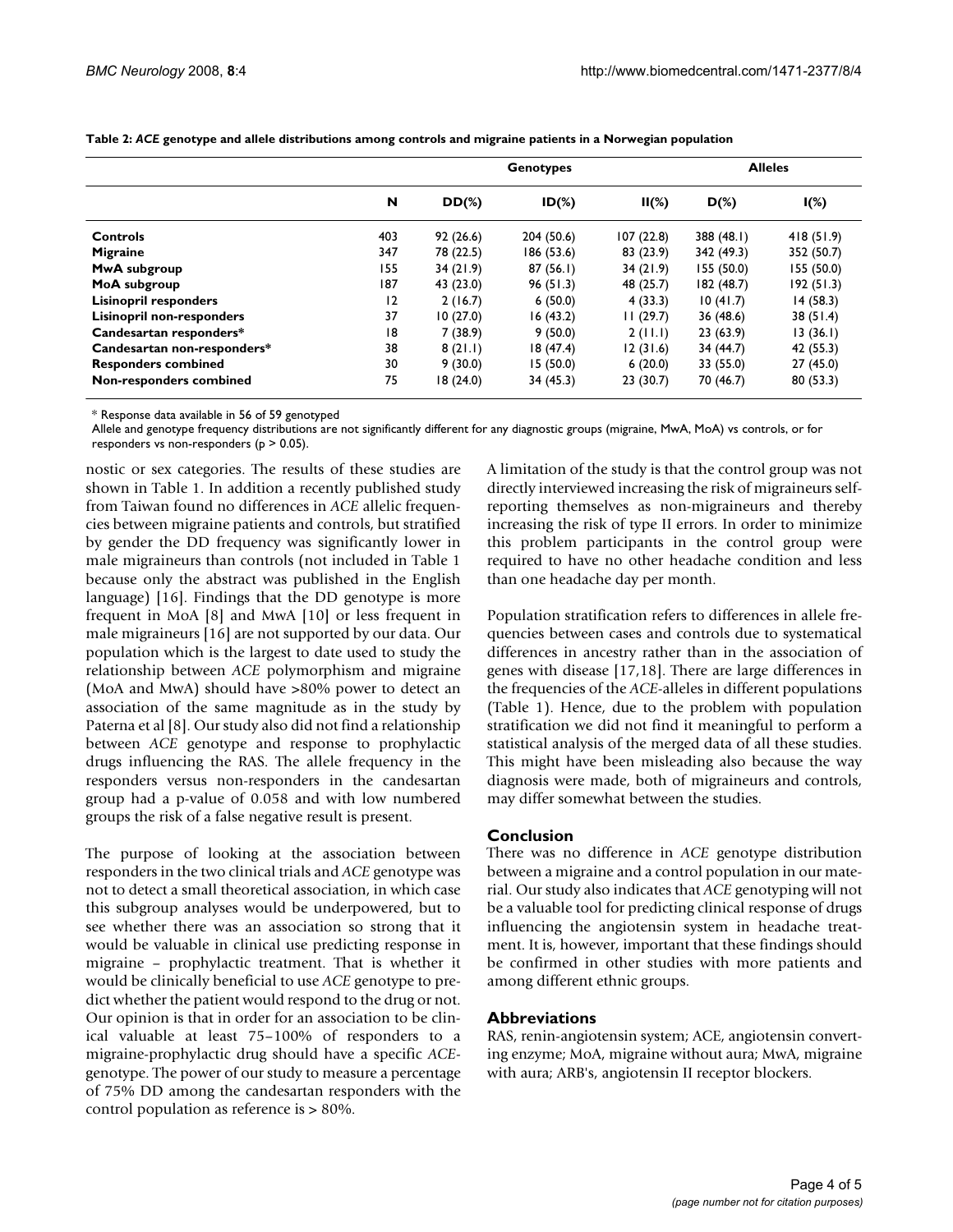|                                  |     |           | <b>Alleles</b> |           |            |            |
|----------------------------------|-----|-----------|----------------|-----------|------------|------------|
|                                  | N   | $DD(\%)$  | $ID(\%)$       | $II(\%)$  | $D(\%)$    | $I(\%)$    |
| Controls                         | 403 | 92(26.6)  | 204 (50.6)     | 107(22.8) | 388(48.1)  | 418(51.9)  |
| <b>Migraine</b>                  | 347 | 78 (22.5) | 186 (53.6)     | 83 (23.9) | 342 (49.3) | 352 (50.7) |
| <b>MwA</b> subgroup              | 155 | 34(21.9)  | 87(56.1)       | 34(21.9)  | 155 (50.0) | 155 (50.0) |
| MoA subgroup                     | 187 | 43 (23.0) | 96(51.3)       | 48 (25.7) | 182(48.7)  | 192(51.3)  |
| <b>Lisinopril responders</b>     | 12  | 2(16.7)   | 6(50.0)        | 4(33.3)   | 10(41.7)   | 14(58.3)   |
| <b>Lisinopril non-responders</b> | 37  | 10(27.0)  | 16(43.2)       | 11(29.7)  | 36(48.6)   | 38(51.4)   |
| Candesartan responders*          | 18  | 7(38.9)   | 9(50.0)        | 2(11.1)   | 23(63.9)   | 13(36.1)   |
| Candesartan non-responders*      | 38  | 8(21.1)   | 18(47.4)       | 12(31.6)  | 34 (44.7)  | 42 (55.3)  |
| <b>Responders combined</b>       | 30  | 9(30.0)   | 15(50.0)       | 6(20.0)   | 33 (55.0)  | 27(45.0)   |
| Non-responders combined          | 75  | 18(24.0)  | 34 (45.3)      | 23 (30.7) | 70 (46.7)  | 80(53.3)   |

**Table 2:** *ACE* **genotype and allele distributions among controls and migraine patients in a Norwegian population**

\* Response data available in 56 of 59 genotyped

Allele and genotype frequency distributions are not significantly different for any diagnostic groups (migraine, MwA, MoA) vs controls, or for responders vs non-responders (p > 0.05).

nostic or sex categories. The results of these studies are shown in Table 1. In addition a recently published study from Taiwan found no differences in *ACE* allelic frequencies between migraine patients and controls, but stratified by gender the DD frequency was significantly lower in male migraineurs than controls (not included in Table 1 because only the abstract was published in the English language) [16]. Findings that the DD genotype is more frequent in MoA [8] and MwA [10] or less frequent in male migraineurs [16] are not supported by our data. Our population which is the largest to date used to study the relationship between *ACE* polymorphism and migraine (MoA and MwA) should have >80% power to detect an association of the same magnitude as in the study by Paterna et al [8]. Our study also did not find a relationship between *ACE* genotype and response to prophylactic drugs influencing the RAS. The allele frequency in the responders versus non-responders in the candesartan group had a p-value of 0.058 and with low numbered groups the risk of a false negative result is present.

The purpose of looking at the association between responders in the two clinical trials and *ACE* genotype was not to detect a small theoretical association, in which case this subgroup analyses would be underpowered, but to see whether there was an association so strong that it would be valuable in clinical use predicting response in migraine – prophylactic treatment. That is whether it would be clinically beneficial to use *ACE* genotype to predict whether the patient would respond to the drug or not. Our opinion is that in order for an association to be clinical valuable at least 75–100% of responders to a migraine-prophylactic drug should have a specific *ACE*genotype. The power of our study to measure a percentage of 75% DD among the candesartan responders with the control population as reference is > 80%.

A limitation of the study is that the control group was not directly interviewed increasing the risk of migraineurs selfreporting themselves as non-migraineurs and thereby increasing the risk of type II errors. In order to minimize this problem participants in the control group were required to have no other headache condition and less than one headache day per month.

Population stratification refers to differences in allele frequencies between cases and controls due to systematical differences in ancestry rather than in the association of genes with disease [17,18]. There are large differences in the frequencies of the *ACE*-alleles in different populations (Table 1). Hence, due to the problem with population stratification we did not find it meaningful to perform a statistical analysis of the merged data of all these studies. This might have been misleading also because the way diagnosis were made, both of migraineurs and controls, may differ somewhat between the studies.

## **Conclusion**

There was no difference in *ACE* genotype distribution between a migraine and a control population in our material. Our study also indicates that *ACE* genotyping will not be a valuable tool for predicting clinical response of drugs influencing the angiotensin system in headache treatment. It is, however, important that these findings should be confirmed in other studies with more patients and among different ethnic groups.

#### **Abbreviations**

RAS, renin-angiotensin system; ACE, angiotensin converting enzyme; MoA, migraine without aura; MwA, migraine with aura; ARB's, angiotensin II receptor blockers.